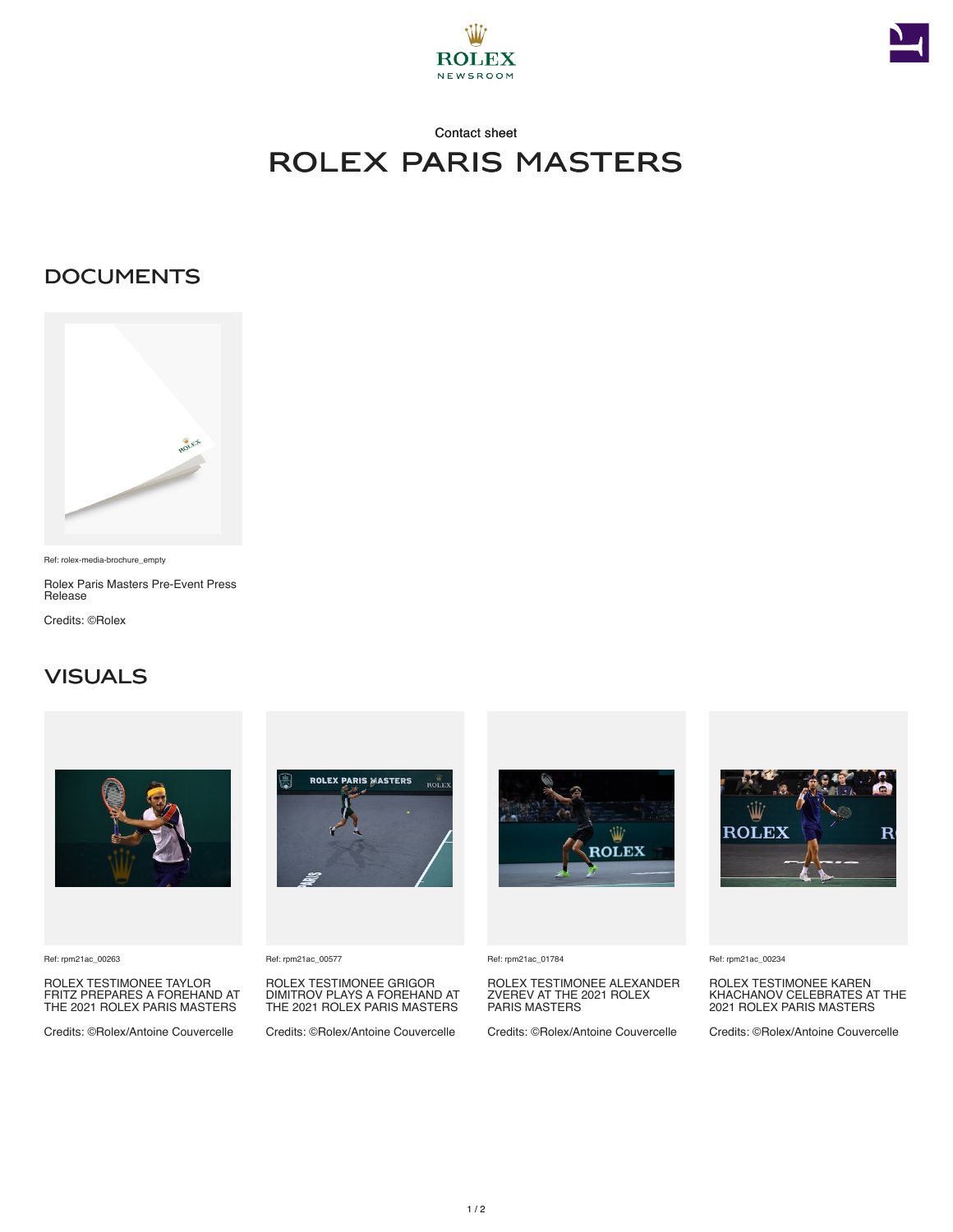



## Contact sheet Rolex Paris Masters

## **DOCUMENTS**



Ref: rolex-media-brochure\_empty

Rolex Paris Masters Pre-Event Press **Release** 

Credits: ©Rolex

## **VISUALS**



Ref: rpm21ac\_00263

ROLEX TESTIMONEE TAYLOR FRITZ PREPARES A FOREHAND AT THE 2021 ROLEX PARIS MASTERS

Credits: ©Rolex/Antoine Couvercelle



Ref: rpm21ac\_00577

ROLEX TESTIMONEE GRIGOR DIMITROV PLAYS A FOREHAND AT THE 2021 ROLEX PARIS MASTERS

Credits: ©Rolex/Antoine Couvercelle



Ref: rpm21ac\_01784

ROLEX TESTIMONEE ALEXANDER ZVEREV AT THE 2021 ROLEX PARIS MASTERS

Credits: ©Rolex/Antoine Couvercelle



Ref: rpm21ac\_00234

ROLEX TESTIMONEE KAREN KHACHANOV CELEBRATES AT THE 2021 ROLEX PARIS MASTERS

Credits: ©Rolex/Antoine Couvercelle